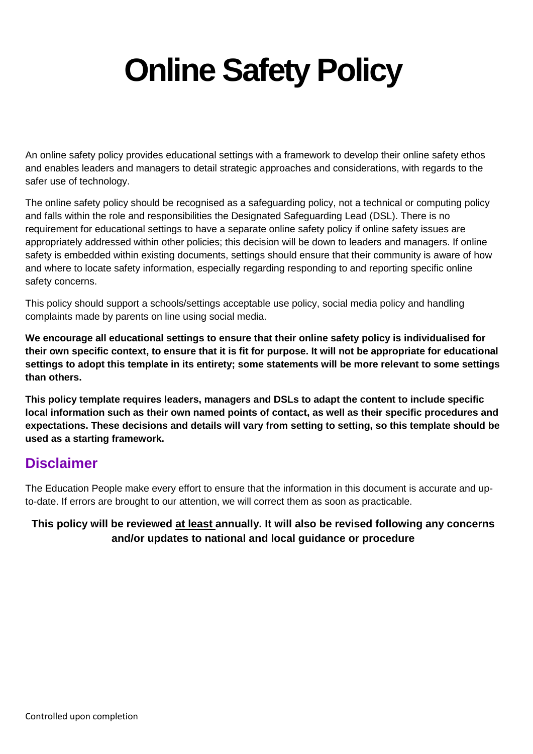# **Online Safety Policy**

An online safety policy provides educational settings with a framework to develop their online safety ethos and enables leaders and managers to detail strategic approaches and considerations, with regards to the safer use of technology.

The online safety policy should be recognised as a safeguarding policy, not a technical or computing policy and falls within the role and responsibilities the Designated Safeguarding Lead (DSL). There is no requirement for educational settings to have a separate online safety policy if online safety issues are appropriately addressed within other policies; this decision will be down to leaders and managers. If online safety is embedded within existing documents, settings should ensure that their community is aware of how and where to locate safety information, especially regarding responding to and reporting specific online safety concerns.

This policy should support a schools/settings acceptable use policy, social media policy and handling complaints made by parents on line using social media.

**We encourage all educational settings to ensure that their online safety policy is individualised for their own specific context, to ensure that it is fit for purpose. It will not be appropriate for educational settings to adopt this template in its entirety; some statements will be more relevant to some settings than others.** 

**This policy template requires leaders, managers and DSLs to adapt the content to include specific local information such as their own named points of contact, as well as their specific procedures and expectations. These decisions and details will vary from setting to setting, so this template should be used as a starting framework.** 

## **Disclaimer**

The Education People make every effort to ensure that the information in this document is accurate and upto-date. If errors are brought to our attention, we will correct them as soon as practicable.

#### **This policy will be reviewed at least annually. It will also be revised following any concerns and/or updates to national and local guidance or procedure**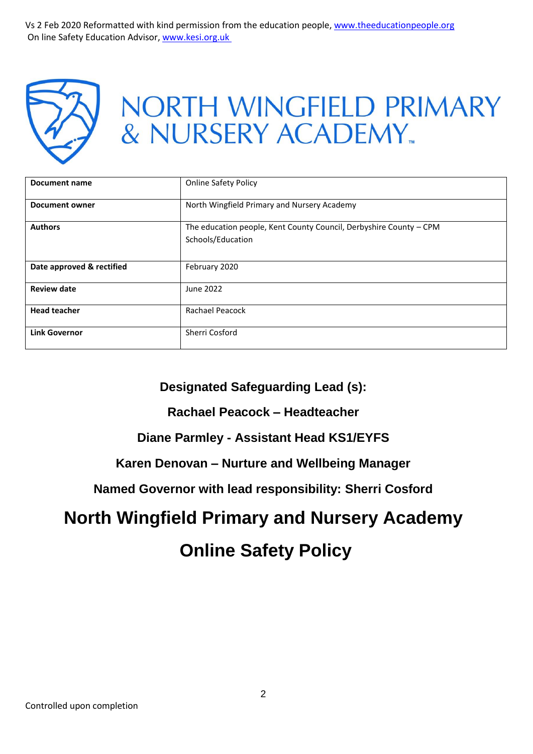

## NORTH WINGFIELD PRIMARY & NURSERY ACADEMY.

| Document name             | <b>Online Safety Policy</b>                                                             |
|---------------------------|-----------------------------------------------------------------------------------------|
| <b>Document owner</b>     | North Wingfield Primary and Nursery Academy                                             |
| <b>Authors</b>            | The education people, Kent County Council, Derbyshire County - CPM<br>Schools/Education |
| Date approved & rectified | February 2020                                                                           |
| <b>Review date</b>        | June 2022                                                                               |
| <b>Head teacher</b>       | <b>Rachael Peacock</b>                                                                  |
| <b>Link Governor</b>      | Sherri Cosford                                                                          |

## **Designated Safeguarding Lead (s):**

#### **Rachael Peacock – Headteacher**

## **Diane Parmley - Assistant Head KS1/EYFS**

#### **Karen Denovan – Nurture and Wellbeing Manager**

#### **Named Governor with lead responsibility: Sherri Cosford**

## **North Wingfield Primary and Nursery Academy**

## **Online Safety Policy**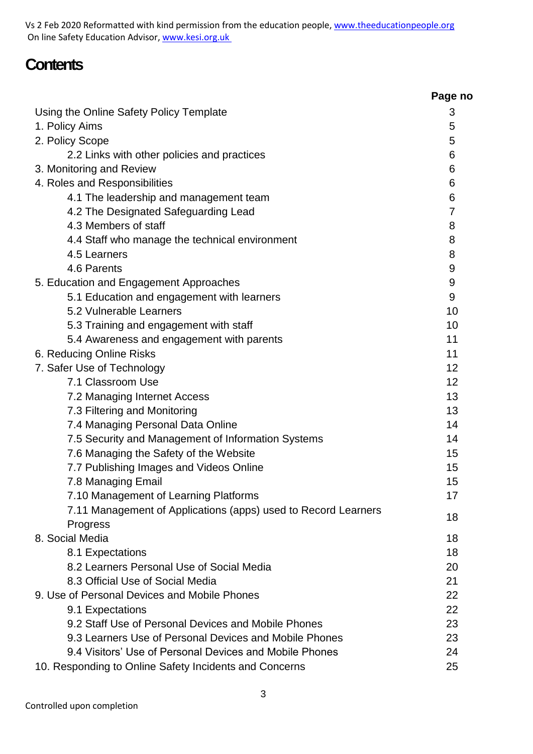Vs 2 Feb 2020 Reformatted with kind permission from the education people, [www.theeducationpeople.org](http://www.theeducationpeople.org/) On line Safety Education Advisor[, www.kesi.org.uk](http://www.kesi.org.uk/)

## **Contents**

| Using the Online Safety Policy Template<br>3<br>1. Policy Aims<br>5<br>2. Policy Scope<br>5<br>2.2 Links with other policies and practices<br>6<br>3. Monitoring and Review<br>6<br>4. Roles and Responsibilities<br>6<br>4.1 The leadership and management team<br>6<br>4.2 The Designated Safeguarding Lead<br>7<br>4.3 Members of staff<br>8<br>4.4 Staff who manage the technical environment<br>8<br>4.5 Learners<br>8<br>4.6 Parents<br>9<br>9<br>5. Education and Engagement Approaches<br>5.1 Education and engagement with learners<br>9<br>5.2 Vulnerable Learners<br>10<br>10<br>5.3 Training and engagement with staff<br>11<br>5.4 Awareness and engagement with parents<br>6. Reducing Online Risks<br>11<br>7. Safer Use of Technology<br>12<br>7.1 Classroom Use<br>12<br>13<br>7.2 Managing Internet Access<br>7.3 Filtering and Monitoring<br>13<br>7.4 Managing Personal Data Online<br>14<br>7.5 Security and Management of Information Systems<br>14<br>7.6 Managing the Safety of the Website<br>15<br>7.7 Publishing Images and Videos Online<br>15<br>7.8 Managing Email<br>15<br>7.10 Management of Learning Platforms<br>17<br>7.11 Management of Applications (apps) used to Record Learners<br>18<br>Progress<br>8. Social Media<br>18<br>18<br>8.1 Expectations<br>8.2 Learners Personal Use of Social Media<br>20<br>8.3 Official Use of Social Media<br>21<br>22<br>9. Use of Personal Devices and Mobile Phones<br>22<br>9.1 Expectations<br>9.2 Staff Use of Personal Devices and Mobile Phones<br>23<br>9.3 Learners Use of Personal Devices and Mobile Phones<br>23<br>9.4 Visitors' Use of Personal Devices and Mobile Phones<br>24<br>25<br>10. Responding to Online Safety Incidents and Concerns |  | Page no |
|-----------------------------------------------------------------------------------------------------------------------------------------------------------------------------------------------------------------------------------------------------------------------------------------------------------------------------------------------------------------------------------------------------------------------------------------------------------------------------------------------------------------------------------------------------------------------------------------------------------------------------------------------------------------------------------------------------------------------------------------------------------------------------------------------------------------------------------------------------------------------------------------------------------------------------------------------------------------------------------------------------------------------------------------------------------------------------------------------------------------------------------------------------------------------------------------------------------------------------------------------------------------------------------------------------------------------------------------------------------------------------------------------------------------------------------------------------------------------------------------------------------------------------------------------------------------------------------------------------------------------------------------------------------------------------------------------------------------------------------------|--|---------|
|                                                                                                                                                                                                                                                                                                                                                                                                                                                                                                                                                                                                                                                                                                                                                                                                                                                                                                                                                                                                                                                                                                                                                                                                                                                                                                                                                                                                                                                                                                                                                                                                                                                                                                                                         |  |         |
|                                                                                                                                                                                                                                                                                                                                                                                                                                                                                                                                                                                                                                                                                                                                                                                                                                                                                                                                                                                                                                                                                                                                                                                                                                                                                                                                                                                                                                                                                                                                                                                                                                                                                                                                         |  |         |
|                                                                                                                                                                                                                                                                                                                                                                                                                                                                                                                                                                                                                                                                                                                                                                                                                                                                                                                                                                                                                                                                                                                                                                                                                                                                                                                                                                                                                                                                                                                                                                                                                                                                                                                                         |  |         |
|                                                                                                                                                                                                                                                                                                                                                                                                                                                                                                                                                                                                                                                                                                                                                                                                                                                                                                                                                                                                                                                                                                                                                                                                                                                                                                                                                                                                                                                                                                                                                                                                                                                                                                                                         |  |         |
|                                                                                                                                                                                                                                                                                                                                                                                                                                                                                                                                                                                                                                                                                                                                                                                                                                                                                                                                                                                                                                                                                                                                                                                                                                                                                                                                                                                                                                                                                                                                                                                                                                                                                                                                         |  |         |
|                                                                                                                                                                                                                                                                                                                                                                                                                                                                                                                                                                                                                                                                                                                                                                                                                                                                                                                                                                                                                                                                                                                                                                                                                                                                                                                                                                                                                                                                                                                                                                                                                                                                                                                                         |  |         |
|                                                                                                                                                                                                                                                                                                                                                                                                                                                                                                                                                                                                                                                                                                                                                                                                                                                                                                                                                                                                                                                                                                                                                                                                                                                                                                                                                                                                                                                                                                                                                                                                                                                                                                                                         |  |         |
|                                                                                                                                                                                                                                                                                                                                                                                                                                                                                                                                                                                                                                                                                                                                                                                                                                                                                                                                                                                                                                                                                                                                                                                                                                                                                                                                                                                                                                                                                                                                                                                                                                                                                                                                         |  |         |
|                                                                                                                                                                                                                                                                                                                                                                                                                                                                                                                                                                                                                                                                                                                                                                                                                                                                                                                                                                                                                                                                                                                                                                                                                                                                                                                                                                                                                                                                                                                                                                                                                                                                                                                                         |  |         |
|                                                                                                                                                                                                                                                                                                                                                                                                                                                                                                                                                                                                                                                                                                                                                                                                                                                                                                                                                                                                                                                                                                                                                                                                                                                                                                                                                                                                                                                                                                                                                                                                                                                                                                                                         |  |         |
|                                                                                                                                                                                                                                                                                                                                                                                                                                                                                                                                                                                                                                                                                                                                                                                                                                                                                                                                                                                                                                                                                                                                                                                                                                                                                                                                                                                                                                                                                                                                                                                                                                                                                                                                         |  |         |
|                                                                                                                                                                                                                                                                                                                                                                                                                                                                                                                                                                                                                                                                                                                                                                                                                                                                                                                                                                                                                                                                                                                                                                                                                                                                                                                                                                                                                                                                                                                                                                                                                                                                                                                                         |  |         |
|                                                                                                                                                                                                                                                                                                                                                                                                                                                                                                                                                                                                                                                                                                                                                                                                                                                                                                                                                                                                                                                                                                                                                                                                                                                                                                                                                                                                                                                                                                                                                                                                                                                                                                                                         |  |         |
|                                                                                                                                                                                                                                                                                                                                                                                                                                                                                                                                                                                                                                                                                                                                                                                                                                                                                                                                                                                                                                                                                                                                                                                                                                                                                                                                                                                                                                                                                                                                                                                                                                                                                                                                         |  |         |
|                                                                                                                                                                                                                                                                                                                                                                                                                                                                                                                                                                                                                                                                                                                                                                                                                                                                                                                                                                                                                                                                                                                                                                                                                                                                                                                                                                                                                                                                                                                                                                                                                                                                                                                                         |  |         |
|                                                                                                                                                                                                                                                                                                                                                                                                                                                                                                                                                                                                                                                                                                                                                                                                                                                                                                                                                                                                                                                                                                                                                                                                                                                                                                                                                                                                                                                                                                                                                                                                                                                                                                                                         |  |         |
|                                                                                                                                                                                                                                                                                                                                                                                                                                                                                                                                                                                                                                                                                                                                                                                                                                                                                                                                                                                                                                                                                                                                                                                                                                                                                                                                                                                                                                                                                                                                                                                                                                                                                                                                         |  |         |
|                                                                                                                                                                                                                                                                                                                                                                                                                                                                                                                                                                                                                                                                                                                                                                                                                                                                                                                                                                                                                                                                                                                                                                                                                                                                                                                                                                                                                                                                                                                                                                                                                                                                                                                                         |  |         |
|                                                                                                                                                                                                                                                                                                                                                                                                                                                                                                                                                                                                                                                                                                                                                                                                                                                                                                                                                                                                                                                                                                                                                                                                                                                                                                                                                                                                                                                                                                                                                                                                                                                                                                                                         |  |         |
|                                                                                                                                                                                                                                                                                                                                                                                                                                                                                                                                                                                                                                                                                                                                                                                                                                                                                                                                                                                                                                                                                                                                                                                                                                                                                                                                                                                                                                                                                                                                                                                                                                                                                                                                         |  |         |
|                                                                                                                                                                                                                                                                                                                                                                                                                                                                                                                                                                                                                                                                                                                                                                                                                                                                                                                                                                                                                                                                                                                                                                                                                                                                                                                                                                                                                                                                                                                                                                                                                                                                                                                                         |  |         |
|                                                                                                                                                                                                                                                                                                                                                                                                                                                                                                                                                                                                                                                                                                                                                                                                                                                                                                                                                                                                                                                                                                                                                                                                                                                                                                                                                                                                                                                                                                                                                                                                                                                                                                                                         |  |         |
|                                                                                                                                                                                                                                                                                                                                                                                                                                                                                                                                                                                                                                                                                                                                                                                                                                                                                                                                                                                                                                                                                                                                                                                                                                                                                                                                                                                                                                                                                                                                                                                                                                                                                                                                         |  |         |
|                                                                                                                                                                                                                                                                                                                                                                                                                                                                                                                                                                                                                                                                                                                                                                                                                                                                                                                                                                                                                                                                                                                                                                                                                                                                                                                                                                                                                                                                                                                                                                                                                                                                                                                                         |  |         |
|                                                                                                                                                                                                                                                                                                                                                                                                                                                                                                                                                                                                                                                                                                                                                                                                                                                                                                                                                                                                                                                                                                                                                                                                                                                                                                                                                                                                                                                                                                                                                                                                                                                                                                                                         |  |         |
|                                                                                                                                                                                                                                                                                                                                                                                                                                                                                                                                                                                                                                                                                                                                                                                                                                                                                                                                                                                                                                                                                                                                                                                                                                                                                                                                                                                                                                                                                                                                                                                                                                                                                                                                         |  |         |
|                                                                                                                                                                                                                                                                                                                                                                                                                                                                                                                                                                                                                                                                                                                                                                                                                                                                                                                                                                                                                                                                                                                                                                                                                                                                                                                                                                                                                                                                                                                                                                                                                                                                                                                                         |  |         |
|                                                                                                                                                                                                                                                                                                                                                                                                                                                                                                                                                                                                                                                                                                                                                                                                                                                                                                                                                                                                                                                                                                                                                                                                                                                                                                                                                                                                                                                                                                                                                                                                                                                                                                                                         |  |         |
|                                                                                                                                                                                                                                                                                                                                                                                                                                                                                                                                                                                                                                                                                                                                                                                                                                                                                                                                                                                                                                                                                                                                                                                                                                                                                                                                                                                                                                                                                                                                                                                                                                                                                                                                         |  |         |
|                                                                                                                                                                                                                                                                                                                                                                                                                                                                                                                                                                                                                                                                                                                                                                                                                                                                                                                                                                                                                                                                                                                                                                                                                                                                                                                                                                                                                                                                                                                                                                                                                                                                                                                                         |  |         |
|                                                                                                                                                                                                                                                                                                                                                                                                                                                                                                                                                                                                                                                                                                                                                                                                                                                                                                                                                                                                                                                                                                                                                                                                                                                                                                                                                                                                                                                                                                                                                                                                                                                                                                                                         |  |         |
|                                                                                                                                                                                                                                                                                                                                                                                                                                                                                                                                                                                                                                                                                                                                                                                                                                                                                                                                                                                                                                                                                                                                                                                                                                                                                                                                                                                                                                                                                                                                                                                                                                                                                                                                         |  |         |
|                                                                                                                                                                                                                                                                                                                                                                                                                                                                                                                                                                                                                                                                                                                                                                                                                                                                                                                                                                                                                                                                                                                                                                                                                                                                                                                                                                                                                                                                                                                                                                                                                                                                                                                                         |  |         |
|                                                                                                                                                                                                                                                                                                                                                                                                                                                                                                                                                                                                                                                                                                                                                                                                                                                                                                                                                                                                                                                                                                                                                                                                                                                                                                                                                                                                                                                                                                                                                                                                                                                                                                                                         |  |         |
|                                                                                                                                                                                                                                                                                                                                                                                                                                                                                                                                                                                                                                                                                                                                                                                                                                                                                                                                                                                                                                                                                                                                                                                                                                                                                                                                                                                                                                                                                                                                                                                                                                                                                                                                         |  |         |
|                                                                                                                                                                                                                                                                                                                                                                                                                                                                                                                                                                                                                                                                                                                                                                                                                                                                                                                                                                                                                                                                                                                                                                                                                                                                                                                                                                                                                                                                                                                                                                                                                                                                                                                                         |  |         |
|                                                                                                                                                                                                                                                                                                                                                                                                                                                                                                                                                                                                                                                                                                                                                                                                                                                                                                                                                                                                                                                                                                                                                                                                                                                                                                                                                                                                                                                                                                                                                                                                                                                                                                                                         |  |         |
|                                                                                                                                                                                                                                                                                                                                                                                                                                                                                                                                                                                                                                                                                                                                                                                                                                                                                                                                                                                                                                                                                                                                                                                                                                                                                                                                                                                                                                                                                                                                                                                                                                                                                                                                         |  |         |
|                                                                                                                                                                                                                                                                                                                                                                                                                                                                                                                                                                                                                                                                                                                                                                                                                                                                                                                                                                                                                                                                                                                                                                                                                                                                                                                                                                                                                                                                                                                                                                                                                                                                                                                                         |  |         |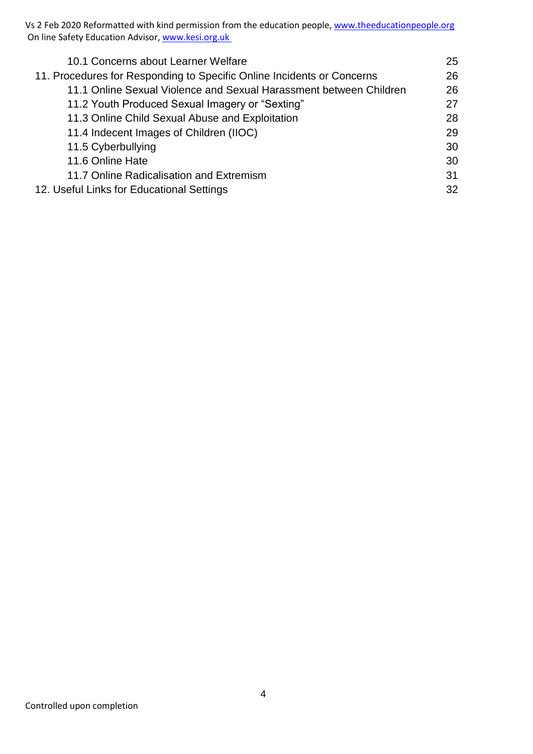Vs 2 Feb 2020 Reformatted with kind permission from the education people, [www.theeducationpeople.org](http://www.theeducationpeople.org/) On line Safety Education Advisor[, www.kesi.org.uk](http://www.kesi.org.uk/)

| 10.1 Concerns about Learner Welfare                                    |    |
|------------------------------------------------------------------------|----|
|                                                                        | 25 |
| 11. Procedures for Responding to Specific Online Incidents or Concerns |    |
| 11.1 Online Sexual Violence and Sexual Harassment between Children     | 26 |
| 11.2 Youth Produced Sexual Imagery or "Sexting"                        | 27 |
| 11.3 Online Child Sexual Abuse and Exploitation                        | 28 |
| 11.4 Indecent Images of Children (IIOC)                                | 29 |
| 11.5 Cyberbullying                                                     | 30 |
| 11.6 Online Hate                                                       | 30 |
| 11.7 Online Radicalisation and Extremism                               | 31 |
| 12. Useful Links for Educational Settings                              |    |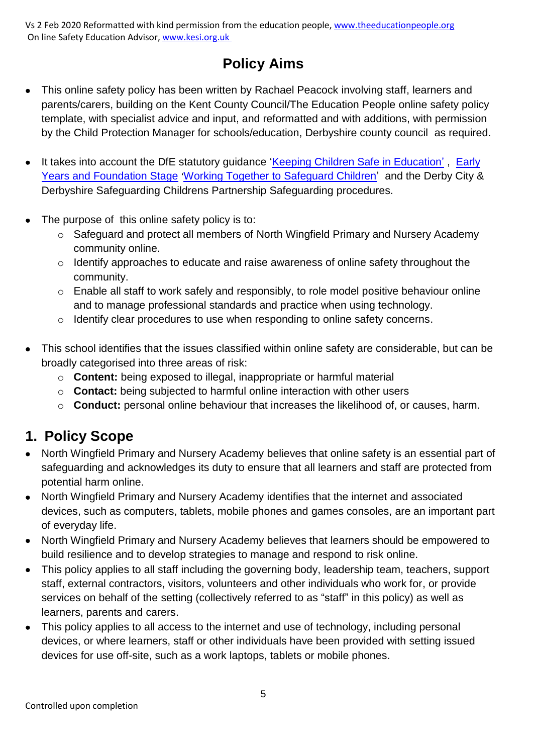## **Policy Aims**

- This online safety policy has been written by Rachael Peacock involving staff, learners and parents/carers, building on the Kent County Council/The Education People online safety policy template, with specialist advice and input, and reformatted and with additions, with permission by the Child Protection Manager for schools/education, Derbyshire county council as required.
- It takes into account the DfE statutory quidance ['Keeping Children Safe in Education'](https://www.gov.uk/government/publications/keeping-children-safe-in-education--2), Early [Years and Foundation Stage](https://www.gov.uk/government/publications/early-years-foundation-stage-framework--2) '[Working Together to Safeguard Children'](https://www.gov.uk/government/publications/working-together-to-safeguard-children--2) and the Derby City & Derbyshire Safeguarding Childrens Partnership Safeguarding procedures.
- The purpose of this online safety policy is to:
	- o Safeguard and protect all members of North Wingfield Primary and Nursery Academy community online.
	- o Identify approaches to educate and raise awareness of online safety throughout the community.
	- o Enable all staff to work safely and responsibly, to role model positive behaviour online and to manage professional standards and practice when using technology.
	- o Identify clear procedures to use when responding to online safety concerns.
- This school identifies that the issues classified within online safety are considerable, but can be broadly categorised into three areas of risk:
	- o **Content:** being exposed to illegal, inappropriate or harmful material
	- o **Contact:** being subjected to harmful online interaction with other users
	- o **Conduct:** personal online behaviour that increases the likelihood of, or causes, harm.

## **1. Policy Scope**

- North Wingfield Primary and Nursery Academy believes that online safety is an essential part of safeguarding and acknowledges its duty to ensure that all learners and staff are protected from potential harm online.
- North Wingfield Primary and Nursery Academy identifies that the internet and associated devices, such as computers, tablets, mobile phones and games consoles, are an important part of everyday life.
- North Wingfield Primary and Nursery Academy believes that learners should be empowered to build resilience and to develop strategies to manage and respond to risk online.
- This policy applies to all staff including the governing body, leadership team, teachers, support staff, external contractors, visitors, volunteers and other individuals who work for, or provide services on behalf of the setting (collectively referred to as "staff" in this policy) as well as learners, parents and carers.
- This policy applies to all access to the internet and use of technology, including personal devices, or where learners, staff or other individuals have been provided with setting issued devices for use off-site, such as a work laptops, tablets or mobile phones.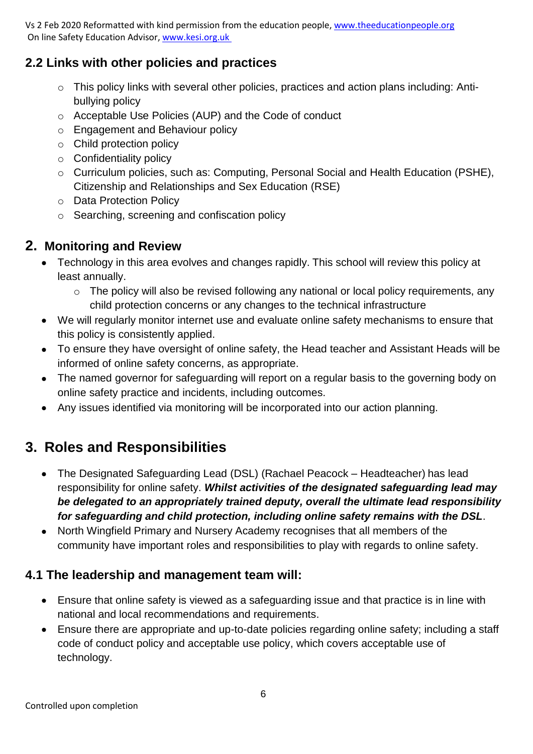## **2.2 Links with other policies and practices**

- o This policy links with several other policies, practices and action plans including: Antibullying policy
- o Acceptable Use Policies (AUP) and the Code of conduct
- o Engagement and Behaviour policy
- o Child protection policy
- o Confidentiality policy
- o Curriculum policies, such as: Computing, Personal Social and Health Education (PSHE), Citizenship and Relationships and Sex Education (RSE)
- o Data Protection Policy
- o Searching, screening and confiscation policy

## **2. Monitoring and Review**

- Technology in this area evolves and changes rapidly. This school will review this policy at least annually.
	- o The policy will also be revised following any national or local policy requirements, any child protection concerns or any changes to the technical infrastructure
- We will regularly monitor internet use and evaluate online safety mechanisms to ensure that this policy is consistently applied.
- To ensure they have oversight of online safety, the Head teacher and Assistant Heads will be informed of online safety concerns, as appropriate.
- The named governor for safeguarding will report on a regular basis to the governing body on online safety practice and incidents, including outcomes.
- Any issues identified via monitoring will be incorporated into our action planning.

## **3. Roles and Responsibilities**

- The Designated Safeguarding Lead (DSL) (Rachael Peacock Headteacher) has lead responsibility for online safety. *Whilst activities of the designated safeguarding lead may be delegated to an appropriately trained deputy, overall the ultimate lead responsibility for safeguarding and child protection, including online safety remains with the DSL*.
- North Wingfield Primary and Nursery Academy recognises that all members of the community have important roles and responsibilities to play with regards to online safety.

## **4.1 The leadership and management team will:**

- Ensure that online safety is viewed as a safeguarding issue and that practice is in line with national and local recommendations and requirements.
- Ensure there are appropriate and up-to-date policies regarding online safety; including a staff code of conduct policy and acceptable use policy, which covers acceptable use of technology.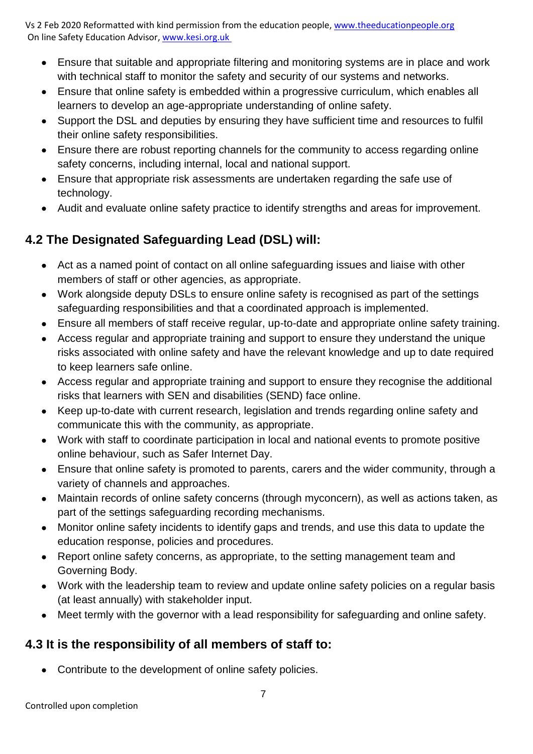- Ensure that suitable and appropriate filtering and monitoring systems are in place and work with technical staff to monitor the safety and security of our systems and networks.
- Ensure that online safety is embedded within a progressive curriculum, which enables all learners to develop an age-appropriate understanding of online safety.
- Support the DSL and deputies by ensuring they have sufficient time and resources to fulfil their online safety responsibilities.
- Ensure there are robust reporting channels for the community to access regarding online safety concerns, including internal, local and national support.
- Ensure that appropriate risk assessments are undertaken regarding the safe use of technology.
- Audit and evaluate online safety practice to identify strengths and areas for improvement.

## **4.2 The Designated Safeguarding Lead (DSL) will:**

- Act as a named point of contact on all online safeguarding issues and liaise with other members of staff or other agencies, as appropriate.
- Work alongside deputy DSLs to ensure online safety is recognised as part of the settings safeguarding responsibilities and that a coordinated approach is implemented.
- Ensure all members of staff receive regular, up-to-date and appropriate online safety training.
- Access regular and appropriate training and support to ensure they understand the unique risks associated with online safety and have the relevant knowledge and up to date required to keep learners safe online.
- Access regular and appropriate training and support to ensure they recognise the additional risks that learners with SEN and disabilities (SEND) face online.
- Keep up-to-date with current research, legislation and trends regarding online safety and communicate this with the community, as appropriate.
- Work with staff to coordinate participation in local and national events to promote positive online behaviour, such as Safer Internet Day.
- Ensure that online safety is promoted to parents, carers and the wider community, through a variety of channels and approaches.
- Maintain records of online safety concerns (through myconcern), as well as actions taken, as part of the settings safeguarding recording mechanisms.
- Monitor online safety incidents to identify gaps and trends, and use this data to update the education response, policies and procedures.
- Report online safety concerns, as appropriate, to the setting management team and Governing Body.
- Work with the leadership team to review and update online safety policies on a regular basis (at least annually) with stakeholder input.
- Meet termly with the governor with a lead responsibility for safeguarding and online safety.

## **4.3 It is the responsibility of all members of staff to:**

• Contribute to the development of online safety policies.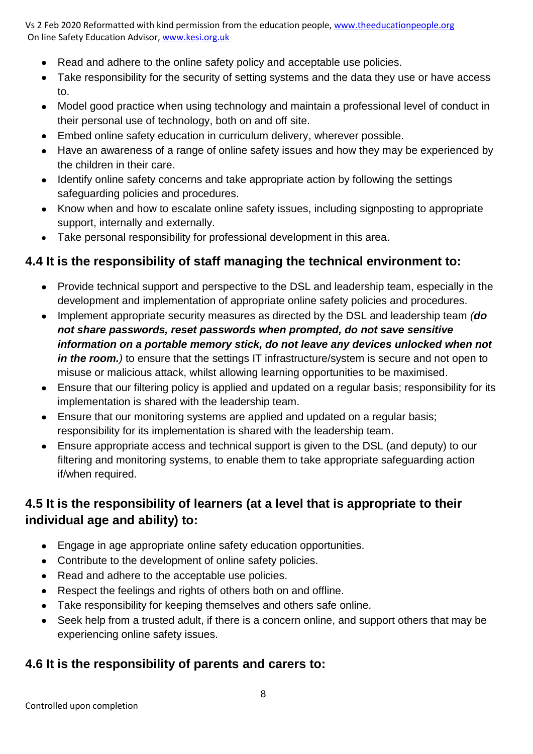- Read and adhere to the online safety policy and acceptable use policies.
- Take responsibility for the security of setting systems and the data they use or have access to.
- Model good practice when using technology and maintain a professional level of conduct in their personal use of technology, both on and off site.
- Embed online safety education in curriculum delivery, wherever possible.
- Have an awareness of a range of online safety issues and how they may be experienced by the children in their care.
- Identify online safety concerns and take appropriate action by following the settings safeguarding policies and procedures.
- Know when and how to escalate online safety issues, including signposting to appropriate support, internally and externally.
- Take personal responsibility for professional development in this area.

#### **4.4 It is the responsibility of staff managing the technical environment to:**

- Provide technical support and perspective to the DSL and leadership team, especially in the development and implementation of appropriate online safety policies and procedures.
- Implement appropriate security measures as directed by the DSL and leadership team *(do not share passwords, reset passwords when prompted, do not save sensitive information on a portable memory stick, do not leave any devices unlocked when not in the room.*) to ensure that the settings IT infrastructure/system is secure and not open to misuse or malicious attack, whilst allowing learning opportunities to be maximised.
- Ensure that our filtering policy is applied and updated on a regular basis; responsibility for its implementation is shared with the leadership team.
- Ensure that our monitoring systems are applied and updated on a regular basis: responsibility for its implementation is shared with the leadership team.
- Ensure appropriate access and technical support is given to the DSL (and deputy) to our filtering and monitoring systems, to enable them to take appropriate safeguarding action if/when required.

## **4.5 It is the responsibility of learners (at a level that is appropriate to their individual age and ability) to:**

- Engage in age appropriate online safety education opportunities.
- Contribute to the development of online safety policies.
- Read and adhere to the acceptable use policies.
- Respect the feelings and rights of others both on and offline.
- Take responsibility for keeping themselves and others safe online.
- Seek help from a trusted adult, if there is a concern online, and support others that may be experiencing online safety issues.

#### **4.6 It is the responsibility of parents and carers to:**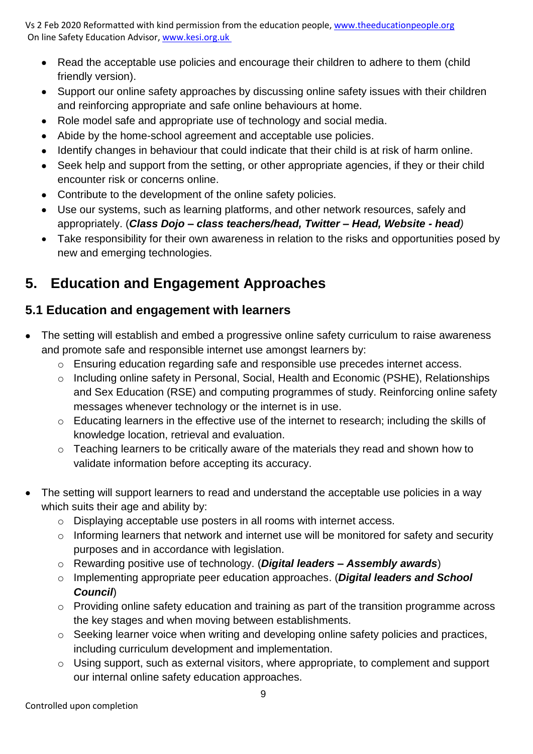- Read the acceptable use policies and encourage their children to adhere to them (child friendly version).
- Support our online safety approaches by discussing online safety issues with their children and reinforcing appropriate and safe online behaviours at home.
- Role model safe and appropriate use of technology and social media.
- Abide by the home-school agreement and acceptable use policies.
- Identify changes in behaviour that could indicate that their child is at risk of harm online.
- Seek help and support from the setting, or other appropriate agencies, if they or their child encounter risk or concerns online.
- Contribute to the development of the online safety policies.
- Use our systems, such as learning platforms, and other network resources, safely and appropriately. (*Class Dojo – class teachers/head, Twitter – Head, Website - head)*
- Take responsibility for their own awareness in relation to the risks and opportunities posed by new and emerging technologies.

## **5. Education and Engagement Approaches**

## **5.1 Education and engagement with learners**

- The setting will establish and embed a progressive online safety curriculum to raise awareness and promote safe and responsible internet use amongst learners by:
	- o Ensuring education regarding safe and responsible use precedes internet access.
	- o Including online safety in Personal, Social, Health and Economic (PSHE), Relationships and Sex Education (RSE) and computing programmes of study. Reinforcing online safety messages whenever technology or the internet is in use.
	- o Educating learners in the effective use of the internet to research; including the skills of knowledge location, retrieval and evaluation.
	- o Teaching learners to be critically aware of the materials they read and shown how to validate information before accepting its accuracy.
- The setting will support learners to read and understand the acceptable use policies in a way which suits their age and ability by:
	- o Displaying acceptable use posters in all rooms with internet access.
	- o Informing learners that network and internet use will be monitored for safety and security purposes and in accordance with legislation.
	- o Rewarding positive use of technology. (*Digital leaders – Assembly awards*)
	- o Implementing appropriate peer education approaches. (*Digital leaders and School Council*)
	- o Providing online safety education and training as part of the transition programme across the key stages and when moving between establishments.
	- o Seeking learner voice when writing and developing online safety policies and practices, including curriculum development and implementation.
	- o Using support, such as external visitors, where appropriate, to complement and support our internal online safety education approaches.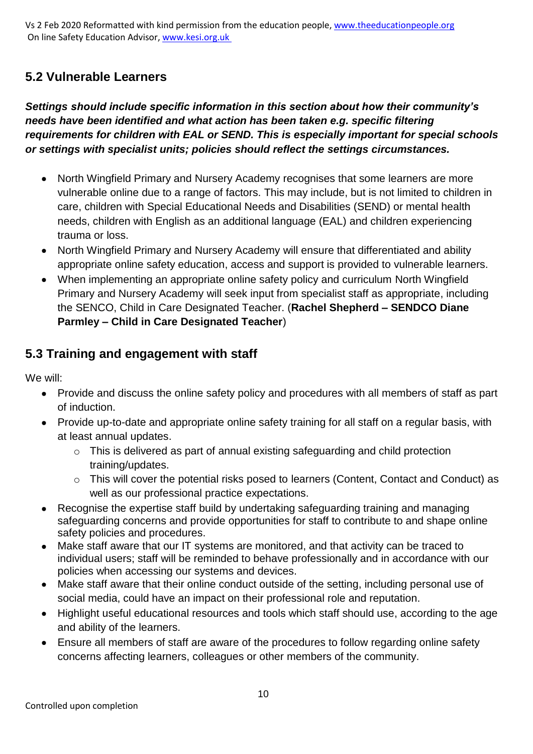## **5.2 Vulnerable Learners**

*Settings should include specific information in this section about how their community's needs have been identified and what action has been taken e.g. specific filtering requirements for children with EAL or SEND. This is especially important for special schools or settings with specialist units; policies should reflect the settings circumstances.* 

- North Wingfield Primary and Nursery Academy recognises that some learners are more vulnerable online due to a range of factors. This may include, but is not limited to children in care, children with Special Educational Needs and Disabilities (SEND) or mental health needs, children with English as an additional language (EAL) and children experiencing trauma or loss.
- North Wingfield Primary and Nursery Academy will ensure that differentiated and ability appropriate online safety education, access and support is provided to vulnerable learners.
- When implementing an appropriate online safety policy and curriculum North Wingfield Primary and Nursery Academy will seek input from specialist staff as appropriate, including the SENCO, Child in Care Designated Teacher. (**Rachel Shepherd – SENDCO Diane Parmley – Child in Care Designated Teacher**)

#### **5.3 Training and engagement with staff**

We will:

- Provide and discuss the online safety policy and procedures with all members of staff as part of induction.
- Provide up-to-date and appropriate online safety training for all staff on a regular basis, with at least annual updates.
	- o This is delivered as part of annual existing safeguarding and child protection training/updates.
	- o This will cover the potential risks posed to learners (Content, Contact and Conduct) as well as our professional practice expectations.
- Recognise the expertise staff build by undertaking safeguarding training and managing safeguarding concerns and provide opportunities for staff to contribute to and shape online safety policies and procedures.
- Make staff aware that our IT systems are monitored, and that activity can be traced to individual users; staff will be reminded to behave professionally and in accordance with our policies when accessing our systems and devices.
- Make staff aware that their online conduct outside of the setting, including personal use of social media, could have an impact on their professional role and reputation.
- Highlight useful educational resources and tools which staff should use, according to the age and ability of the learners.
- Ensure all members of staff are aware of the procedures to follow regarding online safety concerns affecting learners, colleagues or other members of the community.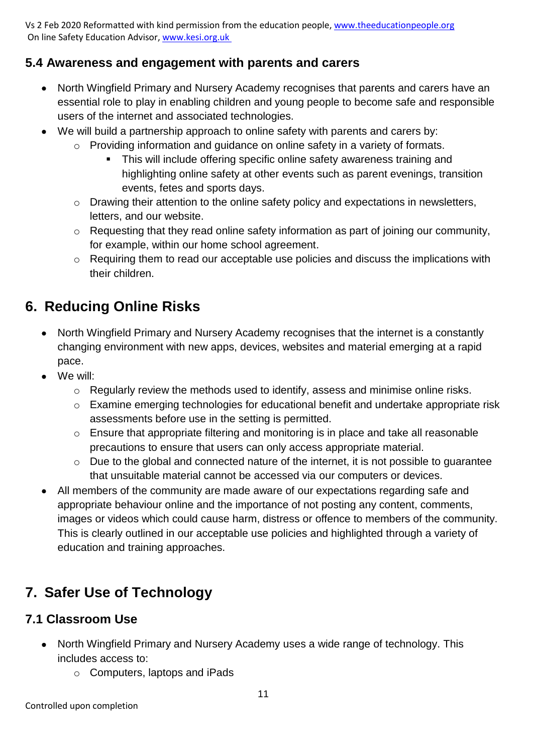#### **5.4 Awareness and engagement with parents and carers**

- North Wingfield Primary and Nursery Academy recognises that parents and carers have an essential role to play in enabling children and young people to become safe and responsible users of the internet and associated technologies.
- We will build a partnership approach to online safety with parents and carers by:
	- o Providing information and guidance on online safety in a variety of formats.
		- This will include offering specific online safety awareness training and highlighting online safety at other events such as parent evenings, transition events, fetes and sports days.
	- o Drawing their attention to the online safety policy and expectations in newsletters, letters, and our website.
	- o Requesting that they read online safety information as part of joining our community, for example, within our home school agreement.
	- o Requiring them to read our acceptable use policies and discuss the implications with their children.

## **6. Reducing Online Risks**

- North Wingfield Primary and Nursery Academy recognises that the internet is a constantly changing environment with new apps, devices, websites and material emerging at a rapid pace.
- We will:
	- o Regularly review the methods used to identify, assess and minimise online risks.
	- o Examine emerging technologies for educational benefit and undertake appropriate risk assessments before use in the setting is permitted.
	- o Ensure that appropriate filtering and monitoring is in place and take all reasonable precautions to ensure that users can only access appropriate material.
	- o Due to the global and connected nature of the internet, it is not possible to guarantee that unsuitable material cannot be accessed via our computers or devices.
- All members of the community are made aware of our expectations regarding safe and appropriate behaviour online and the importance of not posting any content, comments, images or videos which could cause harm, distress or offence to members of the community. This is clearly outlined in our acceptable use policies and highlighted through a variety of education and training approaches.

## **7. Safer Use of Technology**

#### **7.1 Classroom Use**

- North Wingfield Primary and Nursery Academy uses a wide range of technology. This includes access to:
	- o Computers, laptops and iPads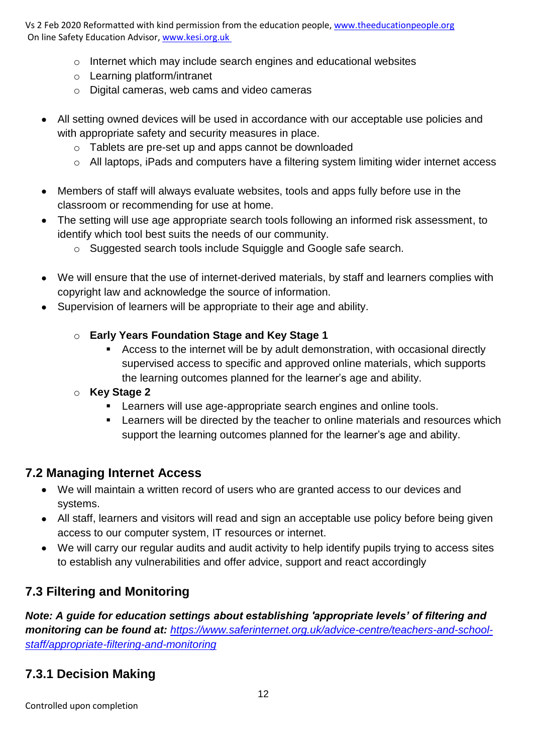- o Internet which may include search engines and educational websites
- o Learning platform/intranet
- o Digital cameras, web cams and video cameras
- All setting owned devices will be used in accordance with our acceptable use policies and with appropriate safety and security measures in place.
	- o Tablets are pre-set up and apps cannot be downloaded
	- o All laptops, iPads and computers have a filtering system limiting wider internet access
- Members of staff will always evaluate websites, tools and apps fully before use in the classroom or recommending for use at home.
- The setting will use age appropriate search tools following an informed risk assessment, to identify which tool best suits the needs of our community.
	- o Suggested search tools include Squiggle and Google safe search.
- We will ensure that the use of internet-derived materials, by staff and learners complies with copyright law and acknowledge the source of information.
- Supervision of learners will be appropriate to their age and ability.
	- o **Early Years Foundation Stage and Key Stage 1**
		- Access to the internet will be by adult demonstration, with occasional directly supervised access to specific and approved online materials, which supports the learning outcomes planned for the learner's age and ability.
	- o **Key Stage 2** 
		- **EXECT** Learners will use age-appropriate search engines and online tools.
		- **EXECTE 1** Learners will be directed by the teacher to online materials and resources which support the learning outcomes planned for the learner's age and ability.

## **7.2 Managing Internet Access**

- We will maintain a written record of users who are granted access to our devices and systems.
- All staff, learners and visitors will read and sign an acceptable use policy before being given access to our computer system, IT resources or internet.
- We will carry our regular audits and audit activity to help identify pupils trying to access sites to establish any vulnerabilities and offer advice, support and react accordingly

## **7.3 Filtering and Monitoring**

*Note: A guide for education settings about establishing 'appropriate levels' of filtering and monitoring can be found at: [https://www.saferinternet.org.uk/advice-centre/teachers-and-school](https://www.saferinternet.org.uk/advice-centre/teachers-and-school-staff/appropriate-filtering-and-monitoring)[staff/appropriate-filtering-and-monitoring](https://www.saferinternet.org.uk/advice-centre/teachers-and-school-staff/appropriate-filtering-and-monitoring)*

## **7.3.1 Decision Making**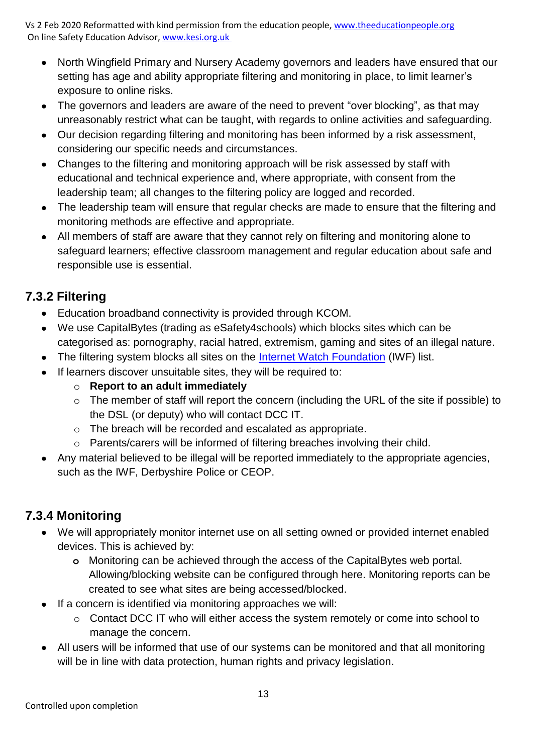- North Wingfield Primary and Nursery Academy governors and leaders have ensured that our setting has age and ability appropriate filtering and monitoring in place, to limit learner's exposure to online risks.
- The governors and leaders are aware of the need to prevent "over blocking", as that may unreasonably restrict what can be taught, with regards to online activities and safeguarding.
- Our decision regarding filtering and monitoring has been informed by a risk assessment, considering our specific needs and circumstances.
- Changes to the filtering and monitoring approach will be risk assessed by staff with educational and technical experience and, where appropriate, with consent from the leadership team; all changes to the filtering policy are logged and recorded.
- The leadership team will ensure that regular checks are made to ensure that the filtering and monitoring methods are effective and appropriate.
- All members of staff are aware that they cannot rely on filtering and monitoring alone to safeguard learners; effective classroom management and regular education about safe and responsible use is essential.

## **7.3.2 Filtering**

- Education broadband connectivity is provided through KCOM.
- We use CapitalBytes (trading as eSafety4schools) which blocks sites which can be categorised as: pornography, racial hatred, extremism, gaming and sites of an illegal nature.
- The filtering system blocks all sites on the [Internet Watch Foundation](https://www.iwf.org.uk/) (IWF) list.
- If learners discover unsuitable sites, they will be required to:
	- o **Report to an adult immediately**
	- o The member of staff will report the concern (including the URL of the site if possible) to the DSL (or deputy) who will contact DCC IT.
	- o The breach will be recorded and escalated as appropriate.
	- o Parents/carers will be informed of filtering breaches involving their child.
- Any material believed to be illegal will be reported immediately to the appropriate agencies, such as the IWF, Derbyshire Police or CEOP.

## **7.3.4 Monitoring**

- We will appropriately monitor internet use on all setting owned or provided internet enabled devices. This is achieved by:
	- **o** Monitoring can be achieved through the access of the CapitalBytes web portal. Allowing/blocking website can be configured through here. Monitoring reports can be created to see what sites are being accessed/blocked.
- If a concern is identified via monitoring approaches we will:
	- o Contact DCC IT who will either access the system remotely or come into school to manage the concern.
- All users will be informed that use of our systems can be monitored and that all monitoring will be in line with data protection, human rights and privacy legislation.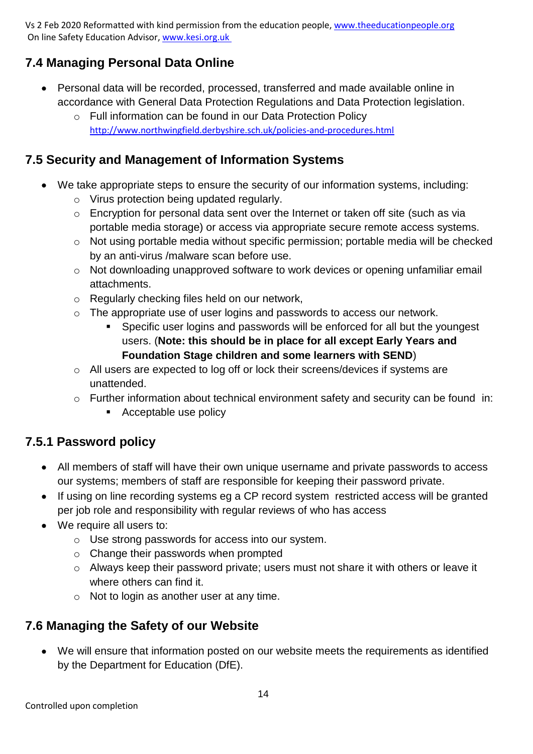## **7.4 Managing Personal Data Online**

- Personal data will be recorded, processed, transferred and made available online in accordance with General Data Protection Regulations and Data Protection legislation.
	- o Full information can be found in our Data Protection Policy <http://www.northwingfield.derbyshire.sch.uk/policies-and-procedures.html>

## **7.5 Security and Management of Information Systems**

- We take appropriate steps to ensure the security of our information systems, including:
	- o Virus protection being updated regularly.
	- o Encryption for personal data sent over the Internet or taken off site (such as via portable media storage) or access via appropriate secure remote access systems.
	- o Not using portable media without specific permission; portable media will be checked by an anti-virus /malware scan before use.
	- o Not downloading unapproved software to work devices or opening unfamiliar email attachments.
	- o Regularly checking files held on our network,
	- o The appropriate use of user logins and passwords to access our network.
		- Specific user logins and passwords will be enforced for all but the youngest users. (**Note: this should be in place for all except Early Years and Foundation Stage children and some learners with SEND**)
	- o All users are expected to log off or lock their screens/devices if systems are unattended.
	- o Further information about technical environment safety and security can be found in:
		- Acceptable use policy

## **7.5.1 Password policy**

- All members of staff will have their own unique username and private passwords to access our systems; members of staff are responsible for keeping their password private.
- If using on line recording systems eg a CP record system restricted access will be granted per job role and responsibility with regular reviews of who has access
- We require all users to:
	- o Use strong passwords for access into our system.
	- o Change their passwords when prompted
	- o Always keep their password private; users must not share it with others or leave it where others can find it.
	- o Not to login as another user at any time.

## **7.6 Managing the Safety of our Website**

• We will ensure that information posted on our website meets the requirements as identified by the Department for Education (DfE).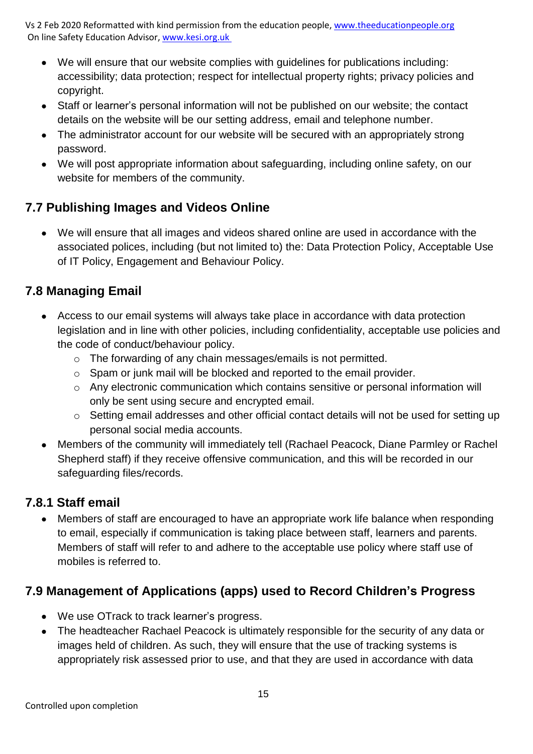- We will ensure that our website complies with guidelines for publications including: accessibility; data protection; respect for intellectual property rights; privacy policies and copyright.
- Staff or learner's personal information will not be published on our website; the contact details on the website will be our setting address, email and telephone number.
- The administrator account for our website will be secured with an appropriately strong password.
- We will post appropriate information about safeguarding, including online safety, on our website for members of the community.

## **7.7 Publishing Images and Videos Online**

• We will ensure that all images and videos shared online are used in accordance with the associated polices, including (but not limited to) the: Data Protection Policy, Acceptable Use of IT Policy, Engagement and Behaviour Policy.

## **7.8 Managing Email**

- Access to our email systems will always take place in accordance with data protection legislation and in line with other policies, including confidentiality, acceptable use policies and the code of conduct/behaviour policy.
	- o The forwarding of any chain messages/emails is not permitted.
	- o Spam or junk mail will be blocked and reported to the email provider.
	- o Any electronic communication which contains sensitive or personal information will only be sent using secure and encrypted email.
	- o Setting email addresses and other official contact details will not be used for setting up personal social media accounts.
- Members of the community will immediately tell (Rachael Peacock, Diane Parmley or Rachel Shepherd staff) if they receive offensive communication, and this will be recorded in our safeguarding files/records.

#### **7.8.1 Staff email**

• Members of staff are encouraged to have an appropriate work life balance when responding to email, especially if communication is taking place between staff, learners and parents. Members of staff will refer to and adhere to the acceptable use policy where staff use of mobiles is referred to.

## **7.9 Management of Applications (apps) used to Record Children's Progress**

- We use OTrack to track learner's progress.
- The headteacher Rachael Peacock is ultimately responsible for the security of any data or images held of children. As such, they will ensure that the use of tracking systems is appropriately risk assessed prior to use, and that they are used in accordance with data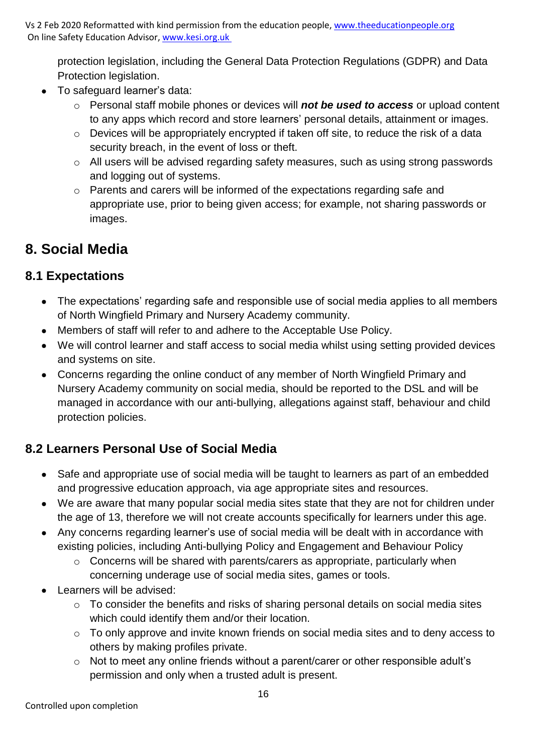protection legislation, including the General Data Protection Regulations (GDPR) and Data Protection legislation.

- To safeguard learner's data:
	- o Personal staff mobile phones or devices will *not be used to access* or upload content to any apps which record and store learners' personal details, attainment or images.
	- o Devices will be appropriately encrypted if taken off site, to reduce the risk of a data security breach, in the event of loss or theft.
	- o All users will be advised regarding safety measures, such as using strong passwords and logging out of systems.
	- o Parents and carers will be informed of the expectations regarding safe and appropriate use, prior to being given access; for example, not sharing passwords or images.

## **8. Social Media**

## **8.1 Expectations**

- The expectations' regarding safe and responsible use of social media applies to all members of North Wingfield Primary and Nursery Academy community.
- Members of staff will refer to and adhere to the Acceptable Use Policy.
- We will control learner and staff access to social media whilst using setting provided devices and systems on site.
- Concerns regarding the online conduct of any member of North Wingfield Primary and Nursery Academy community on social media, should be reported to the DSL and will be managed in accordance with our anti-bullying, allegations against staff, behaviour and child protection policies.

## **8.2 Learners Personal Use of Social Media**

- Safe and appropriate use of social media will be taught to learners as part of an embedded and progressive education approach, via age appropriate sites and resources.
- We are aware that many popular social media sites state that they are not for children under the age of 13, therefore we will not create accounts specifically for learners under this age.
- Any concerns regarding learner's use of social media will be dealt with in accordance with existing policies, including Anti-bullying Policy and Engagement and Behaviour Policy
	- o Concerns will be shared with parents/carers as appropriate, particularly when concerning underage use of social media sites, games or tools.
- Learners will be advised:
	- o To consider the benefits and risks of sharing personal details on social media sites which could identify them and/or their location.
	- o To only approve and invite known friends on social media sites and to deny access to others by making profiles private.
	- o Not to meet any online friends without a parent/carer or other responsible adult's permission and only when a trusted adult is present.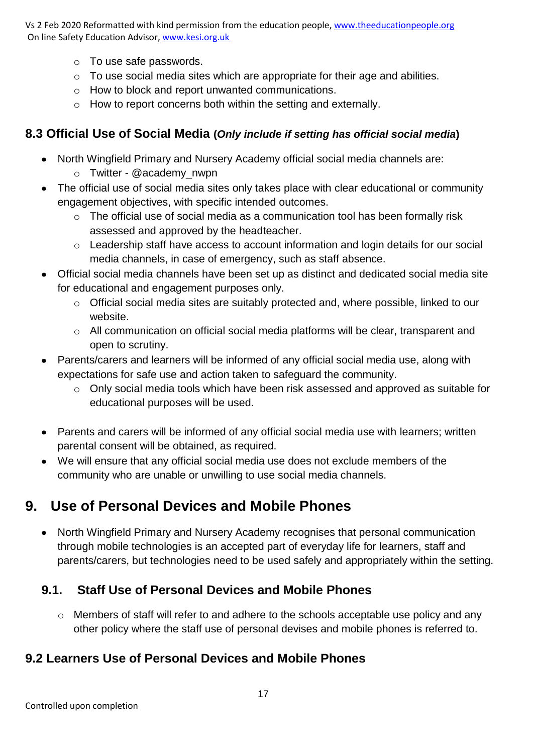- o To use safe passwords.
- o To use social media sites which are appropriate for their age and abilities.
- o How to block and report unwanted communications.
- o How to report concerns both within the setting and externally.

## **8.3 Official Use of Social Media (***Only include if setting has official social media***)**

- North Wingfield Primary and Nursery Academy official social media channels are:
	- o Twitter @academy\_nwpn
- The official use of social media sites only takes place with clear educational or community engagement objectives, with specific intended outcomes.
	- o The official use of social media as a communication tool has been formally risk assessed and approved by the headteacher.
	- o Leadership staff have access to account information and login details for our social media channels, in case of emergency, such as staff absence.
- Official social media channels have been set up as distinct and dedicated social media site for educational and engagement purposes only.
	- o Official social media sites are suitably protected and, where possible, linked to our website.
	- o All communication on official social media platforms will be clear, transparent and open to scrutiny.
- Parents/carers and learners will be informed of any official social media use, along with expectations for safe use and action taken to safeguard the community.
	- o Only social media tools which have been risk assessed and approved as suitable for educational purposes will be used.
- Parents and carers will be informed of any official social media use with learners; written parental consent will be obtained, as required.
- We will ensure that any official social media use does not exclude members of the community who are unable or unwilling to use social media channels.

## **9. Use of Personal Devices and Mobile Phones**

• North Wingfield Primary and Nursery Academy recognises that personal communication through mobile technologies is an accepted part of everyday life for learners, staff and parents/carers, but technologies need to be used safely and appropriately within the setting.

## **9.1. Staff Use of Personal Devices and Mobile Phones**

o Members of staff will refer to and adhere to the schools acceptable use policy and any other policy where the staff use of personal devises and mobile phones is referred to.

## **9.2 Learners Use of Personal Devices and Mobile Phones**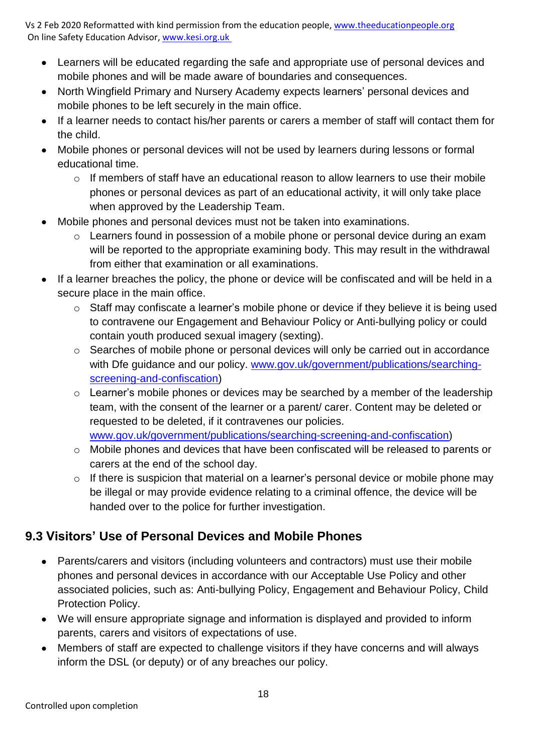- Learners will be educated regarding the safe and appropriate use of personal devices and mobile phones and will be made aware of boundaries and consequences.
- North Wingfield Primary and Nursery Academy expects learners' personal devices and mobile phones to be left securely in the main office.
- If a learner needs to contact his/her parents or carers a member of staff will contact them for the child.
- Mobile phones or personal devices will not be used by learners during lessons or formal educational time.
	- $\circ$  If members of staff have an educational reason to allow learners to use their mobile phones or personal devices as part of an educational activity, it will only take place when approved by the Leadership Team.
- Mobile phones and personal devices must not be taken into examinations.
	- o Learners found in possession of a mobile phone or personal device during an exam will be reported to the appropriate examining body. This may result in the withdrawal from either that examination or all examinations.
- If a learner breaches the policy, the phone or device will be confiscated and will be held in a secure place in the main office.
	- o Staff may confiscate a learner's mobile phone or device if they believe it is being used to contravene our Engagement and Behaviour Policy or Anti-bullying policy or could contain youth produced sexual imagery (sexting).
	- o Searches of mobile phone or personal devices will only be carried out in accordance with Dfe guidance and our policy. [www.gov.uk/government/publications/searching](http://www.gov.uk/government/publications/searching-screening-and-confiscation)[screening-and-confiscation\)](http://www.gov.uk/government/publications/searching-screening-and-confiscation)
	- $\circ$  Learner's mobile phones or devices may be searched by a member of the leadership team, with the consent of the learner or a parent/ carer. Content may be deleted or requested to be deleted, if it contravenes our policies. [www.gov.uk/government/publications/searching-screening-and-confiscation\)](http://www.gov.uk/government/publications/searching-screening-and-confiscation)
	- o Mobile phones and devices that have been confiscated will be released to parents or carers at the end of the school day.
	- o If there is suspicion that material on a learner's personal device or mobile phone may be illegal or may provide evidence relating to a criminal offence, the device will be handed over to the police for further investigation.

## **9.3 Visitors' Use of Personal Devices and Mobile Phones**

- Parents/carers and visitors (including volunteers and contractors) must use their mobile phones and personal devices in accordance with our Acceptable Use Policy and other associated policies, such as: Anti-bullying Policy, Engagement and Behaviour Policy, Child Protection Policy.
- We will ensure appropriate signage and information is displayed and provided to inform parents, carers and visitors of expectations of use.
- Members of staff are expected to challenge visitors if they have concerns and will always inform the DSL (or deputy) or of any breaches our policy.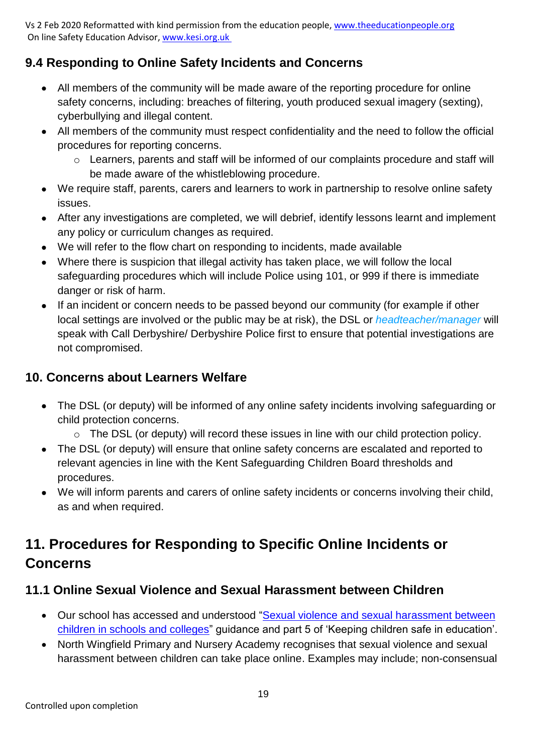## **9.4 Responding to Online Safety Incidents and Concerns**

- All members of the community will be made aware of the reporting procedure for online safety concerns, including: breaches of filtering, youth produced sexual imagery (sexting), cyberbullying and illegal content.
- All members of the community must respect confidentiality and the need to follow the official procedures for reporting concerns.
	- o Learners, parents and staff will be informed of our complaints procedure and staff will be made aware of the whistleblowing procedure.
- We require staff, parents, carers and learners to work in partnership to resolve online safety issues.
- After any investigations are completed, we will debrief, identify lessons learnt and implement any policy or curriculum changes as required.
- We will refer to the flow chart on responding to incidents, made available
- Where there is suspicion that illegal activity has taken place, we will follow the local safeguarding procedures which will include Police using 101, or 999 if there is immediate danger or risk of harm.
- If an incident or concern needs to be passed beyond our community (for example if other local settings are involved or the public may be at risk), the DSL or *headteacher/manager* will speak with Call Derbyshire/ Derbyshire Police first to ensure that potential investigations are not compromised.

#### **10. Concerns about Learners Welfare**

- The DSL (or deputy) will be informed of any online safety incidents involving safeguarding or child protection concerns.
	- o The DSL (or deputy) will record these issues in line with our child protection policy.
- The DSL (or deputy) will ensure that online safety concerns are escalated and reported to relevant agencies in line with the Kent Safeguarding Children Board thresholds and procedures.
- We will inform parents and carers of online safety incidents or concerns involving their child, as and when required.

## **11. Procedures for Responding to Specific Online Incidents or Concerns**

#### **11.1 Online Sexual Violence and Sexual Harassment between Children**

- Our school has accessed and understood ["Sexual violence and sexual harassment between](https://www.gov.uk/government/publications/sexual-violence-and-sexual-harassment-between-children-in-schools-and-colleges)  [children in schools and colleges"](https://www.gov.uk/government/publications/sexual-violence-and-sexual-harassment-between-children-in-schools-and-colleges) guidance and part 5 of 'Keeping children safe in education'.
- North Wingfield Primary and Nursery Academy recognises that sexual violence and sexual harassment between children can take place online. Examples may include; non-consensual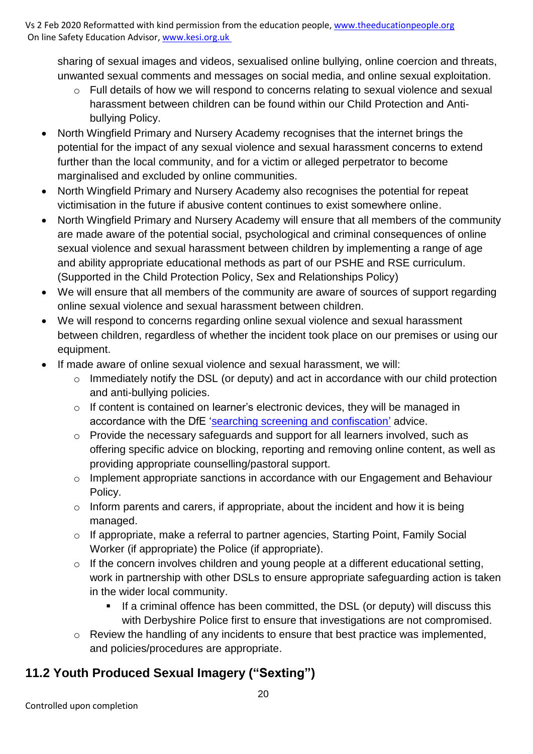sharing of sexual images and videos, sexualised online bullying, online coercion and threats, unwanted sexual comments and messages on social media, and online sexual exploitation.

- o Full details of how we will respond to concerns relating to sexual violence and sexual harassment between children can be found within our Child Protection and Antibullying Policy.
- North Wingfield Primary and Nursery Academy recognises that the internet brings the potential for the impact of any sexual violence and sexual harassment concerns to extend further than the local community, and for a victim or alleged perpetrator to become marginalised and excluded by online communities.
- North Wingfield Primary and Nursery Academy also recognises the potential for repeat victimisation in the future if abusive content continues to exist somewhere online.
- North Wingfield Primary and Nursery Academy will ensure that all members of the community are made aware of the potential social, psychological and criminal consequences of online sexual violence and sexual harassment between children by implementing a range of age and ability appropriate educational methods as part of our PSHE and RSE curriculum. (Supported in the Child Protection Policy, Sex and Relationships Policy)
- We will ensure that all members of the community are aware of sources of support regarding online sexual violence and sexual harassment between children.
- We will respond to concerns regarding online sexual violence and sexual harassment between children, regardless of whether the incident took place on our premises or using our equipment.
- If made aware of online sexual violence and sexual harassment, we will:
	- o Immediately notify the DSL (or deputy) and act in accordance with our child protection and anti-bullying policies.
	- o If content is contained on learner's electronic devices, they will be managed in accordance with the DfE ['searching screening and confiscation'](https://www.gov.uk/government/publications/searching-screening-and-confiscation) advice.
	- o Provide the necessary safeguards and support for all learners involved, such as offering specific advice on blocking, reporting and removing online content, as well as providing appropriate counselling/pastoral support.
	- o Implement appropriate sanctions in accordance with our Engagement and Behaviour Policy.
	- $\circ$  Inform parents and carers, if appropriate, about the incident and how it is being managed.
	- o If appropriate, make a referral to partner agencies, Starting Point, Family Social Worker (if appropriate) the Police (if appropriate).
	- $\circ$  If the concern involves children and young people at a different educational setting, work in partnership with other DSLs to ensure appropriate safeguarding action is taken in the wider local community.
		- If a criminal offence has been committed, the DSL (or deputy) will discuss this with Derbyshire Police first to ensure that investigations are not compromised.
	- o Review the handling of any incidents to ensure that best practice was implemented, and policies/procedures are appropriate.

## **11.2 Youth Produced Sexual Imagery ("Sexting")**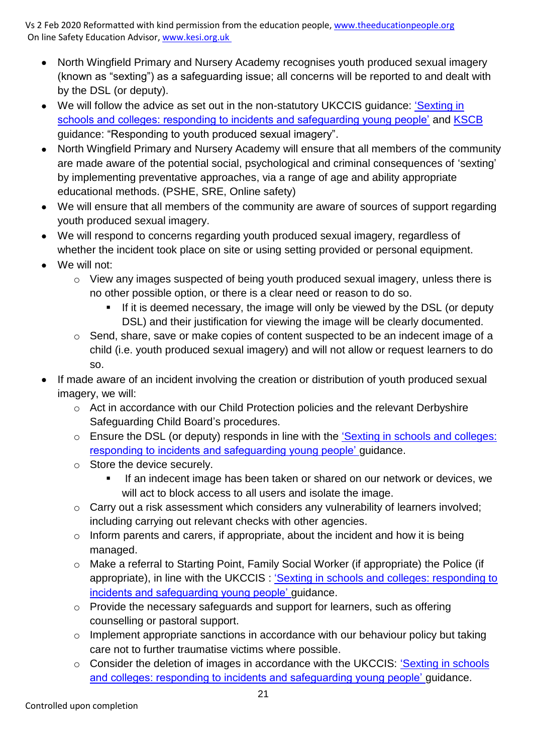- North Wingfield Primary and Nursery Academy recognises youth produced sexual imagery (known as "sexting") as a safeguarding issue; all concerns will be reported to and dealt with by the DSL (or deputy).
- We will follow the advice as set out in the non-statutory UKCCIS quidance: 'Sexting in [schools and colleges: responding to incidents and safeguarding young people'](https://www.gov.uk/government/groups/uk-council-for-child-internet-safety-ukccis) and [KSCB](http://www.kscb.org.uk/guidance/online-safety) guidance: "Responding to youth produced sexual imagery".
- North Wingfield Primary and Nursery Academy will ensure that all members of the community are made aware of the potential social, psychological and criminal consequences of 'sexting' by implementing preventative approaches, via a range of age and ability appropriate educational methods. (PSHE, SRE, Online safety)
- We will ensure that all members of the community are aware of sources of support regarding youth produced sexual imagery.
- We will respond to concerns regarding youth produced sexual imagery, regardless of whether the incident took place on site or using setting provided or personal equipment.
- We will not:
	- o View any images suspected of being youth produced sexual imagery, unless there is no other possible option, or there is a clear need or reason to do so.
		- **.** If it is deemed necessary, the image will only be viewed by the DSL (or deputy DSL) and their justification for viewing the image will be clearly documented.
	- o Send, share, save or make copies of content suspected to be an indecent image of a child (i.e. youth produced sexual imagery) and will not allow or request learners to do so.
- If made aware of an incident involving the creation or distribution of youth produced sexual imagery, we will:
	- o Act in accordance with our Child Protection policies and the relevant Derbyshire Safeguarding Child Board's procedures.
	- o Ensure the DSL (or deputy) responds in line with the ['Sexting in schools and colleges:](https://www.gov.uk/government/groups/uk-council-for-child-internet-safety-ukccis)  [responding to incidents and safeguarding young people'](https://www.gov.uk/government/groups/uk-council-for-child-internet-safety-ukccis) guidance.
	- o Store the device securely.
		- If an indecent image has been taken or shared on our network or devices, we will act to block access to all users and isolate the image.
	- o Carry out a risk assessment which considers any vulnerability of learners involved; including carrying out relevant checks with other agencies.
	- $\circ$  Inform parents and carers, if appropriate, about the incident and how it is being managed.
	- o Make a referral to Starting Point, Family Social Worker (if appropriate) the Police (if appropriate), in line with the UKCCIS : 'Sexting in schools and colleges: responding to [incidents and safeguarding young people'](https://www.gov.uk/government/groups/uk-council-for-child-internet-safety-ukccis) guidance.
	- o Provide the necessary safeguards and support for learners, such as offering counselling or pastoral support.
	- o Implement appropriate sanctions in accordance with our behaviour policy but taking care not to further traumatise victims where possible.
	- o Consider the deletion of images in accordance with the UKCCIS: ['Sexting in schools](https://www.gov.uk/government/groups/uk-council-for-child-internet-safety-ukccis)  [and colleges: responding to incidents and safeguarding young people'](https://www.gov.uk/government/groups/uk-council-for-child-internet-safety-ukccis) guidance.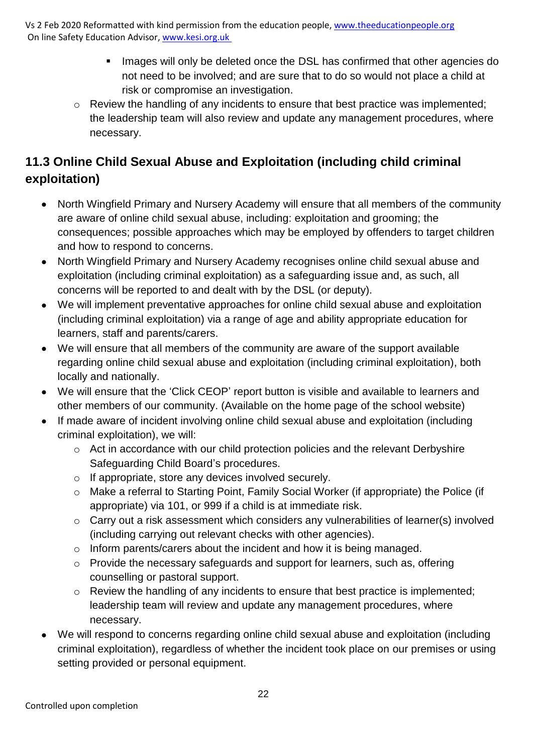- Images will only be deleted once the DSL has confirmed that other agencies do not need to be involved; and are sure that to do so would not place a child at risk or compromise an investigation.
- o Review the handling of any incidents to ensure that best practice was implemented; the leadership team will also review and update any management procedures, where necessary.

## **11.3 Online Child Sexual Abuse and Exploitation (including child criminal exploitation)**

- North Wingfield Primary and Nursery Academy will ensure that all members of the community are aware of online child sexual abuse, including: exploitation and grooming; the consequences; possible approaches which may be employed by offenders to target children and how to respond to concerns.
- North Wingfield Primary and Nursery Academy recognises online child sexual abuse and exploitation (including criminal exploitation) as a safeguarding issue and, as such, all concerns will be reported to and dealt with by the DSL (or deputy).
- We will implement preventative approaches for online child sexual abuse and exploitation (including criminal exploitation) via a range of age and ability appropriate education for learners, staff and parents/carers.
- We will ensure that all members of the community are aware of the support available regarding online child sexual abuse and exploitation (including criminal exploitation), both locally and nationally.
- We will ensure that the 'Click CEOP' report button is visible and available to learners and other members of our community. (Available on the home page of the school website)
- If made aware of incident involving online child sexual abuse and exploitation (including criminal exploitation), we will:
	- o Act in accordance with our child protection policies and the relevant Derbyshire Safeguarding Child Board's procedures.
	- o If appropriate, store any devices involved securely.
	- o Make a referral to Starting Point, Family Social Worker (if appropriate) the Police (if appropriate) via 101, or 999 if a child is at immediate risk.
	- o Carry out a risk assessment which considers any vulnerabilities of learner(s) involved (including carrying out relevant checks with other agencies).
	- o Inform parents/carers about the incident and how it is being managed.
	- o Provide the necessary safeguards and support for learners, such as, offering counselling or pastoral support.
	- o Review the handling of any incidents to ensure that best practice is implemented; leadership team will review and update any management procedures, where necessary.
- We will respond to concerns regarding online child sexual abuse and exploitation (including criminal exploitation), regardless of whether the incident took place on our premises or using setting provided or personal equipment.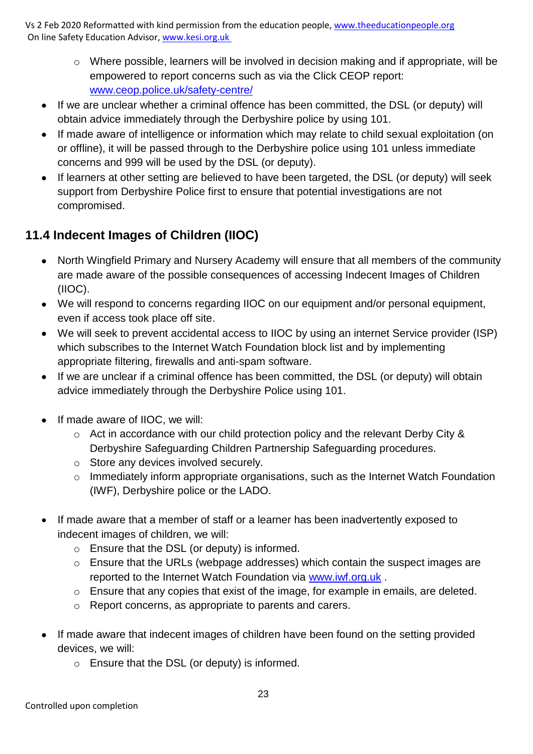- o Where possible, learners will be involved in decision making and if appropriate, will be empowered to report concerns such as via the Click CEOP report: [www.ceop.police.uk/safety-centre/](http://www.ceop.police.uk/safety-centre/)
- If we are unclear whether a criminal offence has been committed, the DSL (or deputy) will obtain advice immediately through the Derbyshire police by using 101.
- If made aware of intelligence or information which may relate to child sexual exploitation (on or offline), it will be passed through to the Derbyshire police using 101 unless immediate concerns and 999 will be used by the DSL (or deputy).
- If learners at other setting are believed to have been targeted, the DSL (or deputy) will seek support from Derbyshire Police first to ensure that potential investigations are not compromised.

## **11.4 Indecent Images of Children (IIOC)**

- North Wingfield Primary and Nursery Academy will ensure that all members of the community are made aware of the possible consequences of accessing Indecent Images of Children (IIOC).
- We will respond to concerns regarding IIOC on our equipment and/or personal equipment, even if access took place off site.
- We will seek to prevent accidental access to IIOC by using an internet Service provider (ISP) which subscribes to the Internet Watch Foundation block list and by implementing appropriate filtering, firewalls and anti-spam software.
- If we are unclear if a criminal offence has been committed, the DSL (or deputy) will obtain advice immediately through the Derbyshire Police using 101.
- If made aware of IIOC, we will:
	- o Act in accordance with our child protection policy and the relevant Derby City & Derbyshire Safeguarding Children Partnership Safeguarding procedures.
	- o Store any devices involved securely.
	- o Immediately inform appropriate organisations, such as the Internet Watch Foundation (IWF), Derbyshire police or the LADO.
- If made aware that a member of staff or a learner has been inadvertently exposed to indecent images of children, we will:
	- o Ensure that the DSL (or deputy) is informed.
	- o Ensure that the URLs (webpage addresses) which contain the suspect images are reported to the Internet Watch Foundation via [www.iwf.org.uk](https://www.iwf.org.uk/) .
	- o Ensure that any copies that exist of the image, for example in emails, are deleted.
	- o Report concerns, as appropriate to parents and carers.
- If made aware that indecent images of children have been found on the setting provided devices, we will:
	- o Ensure that the DSL (or deputy) is informed.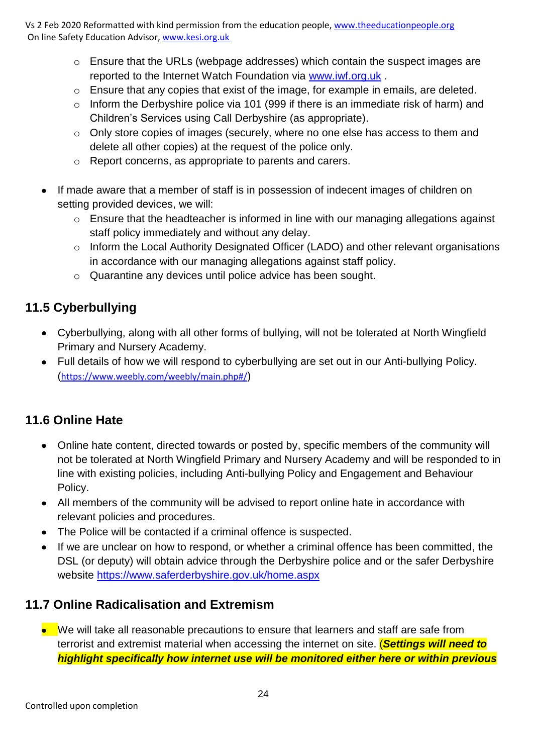- o Ensure that the URLs (webpage addresses) which contain the suspect images are reported to the Internet Watch Foundation via [www.iwf.org.uk](https://www.iwf.org.uk/) .
- o Ensure that any copies that exist of the image, for example in emails, are deleted.
- o Inform the Derbyshire police via 101 (999 if there is an immediate risk of harm) and Children's Services using Call Derbyshire (as appropriate).
- o Only store copies of images (securely, where no one else has access to them and delete all other copies) at the request of the police only.
- o Report concerns, as appropriate to parents and carers.
- If made aware that a member of staff is in possession of indecent images of children on setting provided devices, we will:
	- o Ensure that the headteacher is informed in line with our managing allegations against staff policy immediately and without any delay.
	- o Inform the Local Authority Designated Officer (LADO) and other relevant organisations in accordance with our managing allegations against staff policy.
	- o Quarantine any devices until police advice has been sought.

## **11.5 Cyberbullying**

- Cyberbullying, along with all other forms of bullying, will not be tolerated at North Wingfield Primary and Nursery Academy.
- Full details of how we will respond to cyberbullying are set out in our Anti-bullying Policy. (<https://www.weebly.com/weebly/main.php#/>)

## **11.6 Online Hate**

- Online hate content, directed towards or posted by, specific members of the community will not be tolerated at North Wingfield Primary and Nursery Academy and will be responded to in line with existing policies, including Anti-bullying Policy and Engagement and Behaviour Policy.
- All members of the community will be advised to report online hate in accordance with relevant policies and procedures.
- The Police will be contacted if a criminal offence is suspected.
- If we are unclear on how to respond, or whether a criminal offence has been committed, the DSL (or deputy) will obtain advice through the Derbyshire police and or the safer Derbyshire website<https://www.saferderbyshire.gov.uk/home.aspx>

## **11.7 Online Radicalisation and Extremism**

• We will take all reasonable precautions to ensure that learners and staff are safe from terrorist and extremist material when accessing the internet on site. (*Settings will need to highlight specifically how internet use will be monitored either here or within previous*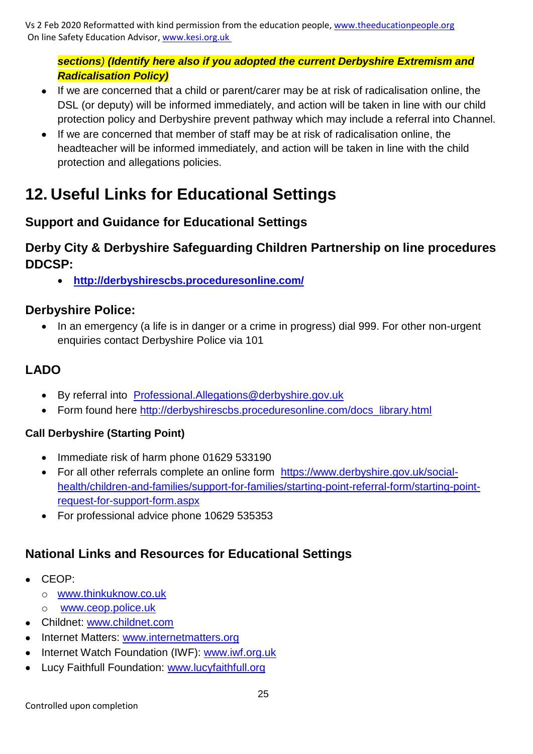#### *sections) (Identify here also if you adopted the current Derbyshire Extremism and Radicalisation Policy)*

- If we are concerned that a child or parent/carer may be at risk of radicalisation online, the DSL (or deputy) will be informed immediately, and action will be taken in line with our child protection policy and Derbyshire prevent pathway which may include a referral into Channel.
- If we are concerned that member of staff may be at risk of radicalisation online, the headteacher will be informed immediately, and action will be taken in line with the child protection and allegations policies.

## **12. Useful Links for Educational Settings**

## **Support and Guidance for Educational Settings**

#### **Derby City & Derbyshire Safeguarding Children Partnership on line procedures DDCSP:**

• **<http://derbyshirescbs.proceduresonline.com/>**

#### **Derbyshire Police:**

• In an emergency (a life is in danger or a crime in progress) dial 999. For other non-urgent enquiries contact Derbyshire Police via 101

## **LADO**

- By referral into [Professional.Allegations@derbyshire.gov.uk](mailto:Professional.Allegations@derbyshire.gov.uk)
- Form found here [http://derbyshirescbs.proceduresonline.com/docs\\_library.html](http://derbyshirescbs.proceduresonline.com/docs_library.html)

#### **Call Derbyshire (Starting Point)**

- Immediate risk of harm phone 01629 533190
- For all other referrals complete an online form [https://www.derbyshire.gov.uk/social](https://www.derbyshire.gov.uk/social-health/children-and-families/support-for-families/starting-point-referral-form/starting-point-request-for-support-form.aspx)[health/children-and-families/support-for-families/starting-point-referral-form/starting-point](https://www.derbyshire.gov.uk/social-health/children-and-families/support-for-families/starting-point-referral-form/starting-point-request-for-support-form.aspx)[request-for-support-form.aspx](https://www.derbyshire.gov.uk/social-health/children-and-families/support-for-families/starting-point-referral-form/starting-point-request-for-support-form.aspx)
- For professional advice phone 10629 535353

## **National Links and Resources for Educational Settings**

- CEOP:
	- o [www.thinkuknow.co.uk](http://www.thinkuknow.co.uk/)
	- o [www.ceop.police.uk](http://www.ceop.police.uk/)
- Childnet: [www.childnet.com](http://www.childnet.com/)
- Internet Matters: [www.internetmatters.org](http://www.internetmatters.org/)
- Internet Watch Foundation (IWF): [www.iwf.org.uk](http://www.iwf.org.uk/)
- Lucy Faithfull Foundation: [www.lucyfaithfull.org](http://www.lucyfaithfull.org/)